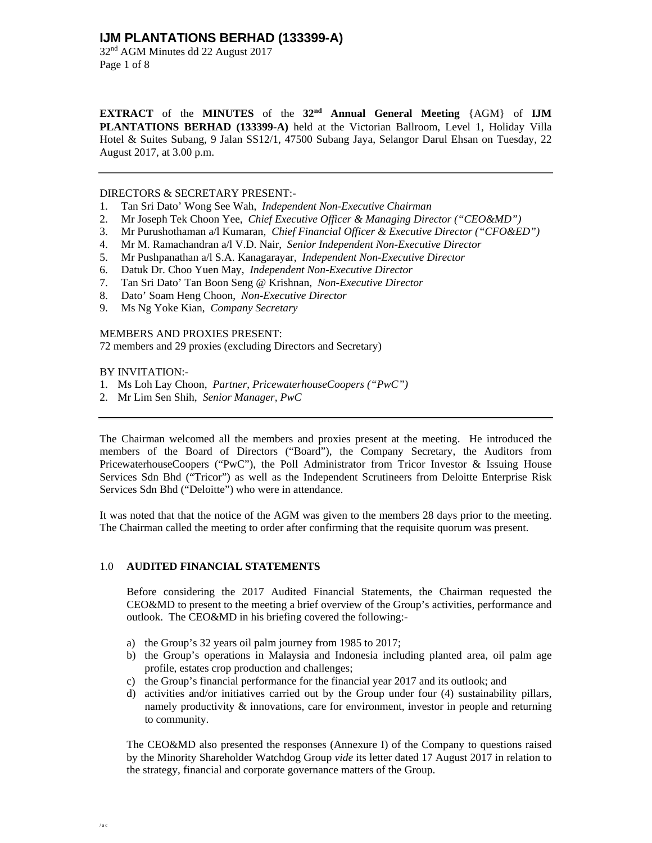32nd AGM Minutes dd 22 August 2017 Page 1 of 8

**EXTRACT** of the **MINUTES** of the **32nd Annual General Meeting** {AGM} of **IJM PLANTATIONS BERHAD (133399-A)** held at the Victorian Ballroom, Level 1, Holiday Villa Hotel & Suites Subang, 9 Jalan SS12/1, 47500 Subang Jaya, Selangor Darul Ehsan on Tuesday, 22 August 2017, at 3.00 p.m.

### DIRECTORS & SECRETARY PRESENT:-

- 1. Tan Sri Dato' Wong See Wah, *Independent Non-Executive Chairman*
- 2. Mr Joseph Tek Choon Yee, *Chief Executive Officer & Managing Director ("CEO&MD")*
- 3. Mr Purushothaman a/l Kumaran, *Chief Financial Officer & Executive Director ("CFO&ED")*
- 4. Mr M. Ramachandran a/l V.D. Nair, *Senior Independent Non-Executive Director*
- 5. Mr Pushpanathan a/l S.A. Kanagarayar, *Independent Non-Executive Director*
- 6. Datuk Dr. Choo Yuen May, *Independent Non-Executive Director*
- 7. Tan Sri Dato' Tan Boon Seng @ Krishnan, *Non-Executive Director*
- 8. Dato' Soam Heng Choon, *Non-Executive Director*
- 9. Ms Ng Yoke Kian, *Company Secretary*

### MEMBERS AND PROXIES PRESENT:

72 members and 29 proxies (excluding Directors and Secretary)

### BY INVITATION:-

- 1. Ms Loh Lay Choon, *Partner*, *PricewaterhouseCoopers ("PwC")*
- 2. Mr Lim Sen Shih, *Senior Manager, PwC*

The Chairman welcomed all the members and proxies present at the meeting. He introduced the members of the Board of Directors ("Board"), the Company Secretary, the Auditors from PricewaterhouseCoopers ("PwC"), the Poll Administrator from Tricor Investor & Issuing House Services Sdn Bhd ("Tricor") as well as the Independent Scrutineers from Deloitte Enterprise Risk Services Sdn Bhd ("Deloitte") who were in attendance.

It was noted that that the notice of the AGM was given to the members 28 days prior to the meeting. The Chairman called the meeting to order after confirming that the requisite quorum was present.

### 1.0 **AUDITED FINANCIAL STATEMENTS**

Before considering the 2017 Audited Financial Statements, the Chairman requested the CEO&MD to present to the meeting a brief overview of the Group's activities, performance and outlook. The CEO&MD in his briefing covered the following:-

- a) the Group's 32 years oil palm journey from 1985 to 2017;
- b) the Group's operations in Malaysia and Indonesia including planted area, oil palm age profile, estates crop production and challenges;
- c) the Group's financial performance for the financial year 2017 and its outlook; and
- d) activities and/or initiatives carried out by the Group under four (4) sustainability pillars, namely productivity  $\&$  innovations, care for environment, investor in people and returning to community.

The CEO&MD also presented the responses (Annexure I) of the Company to questions raised by the Minority Shareholder Watchdog Group *vide* its letter dated 17 August 2017 in relation to the strategy, financial and corporate governance matters of the Group.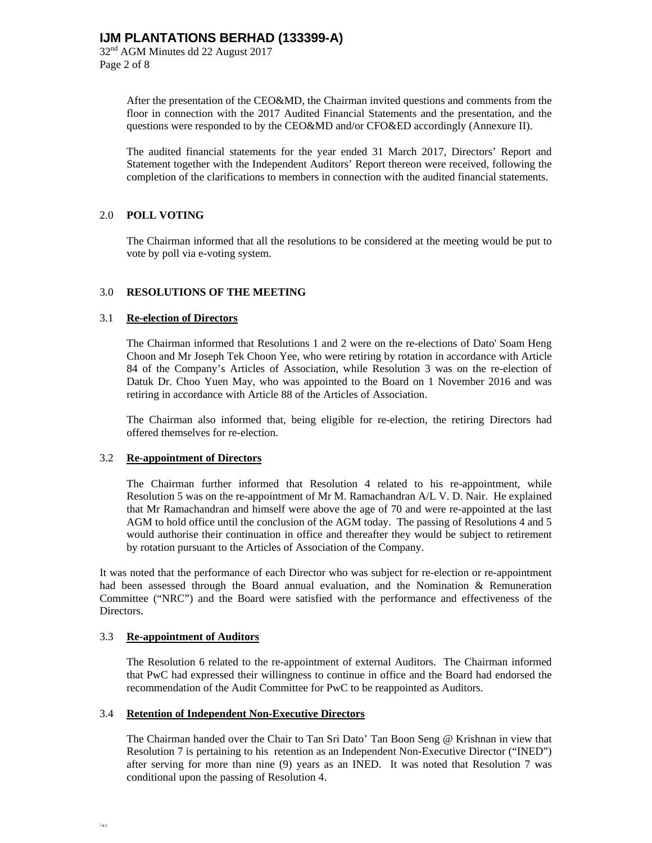Page 2 of 8

After the presentation of the CEO&MD, the Chairman invited questions and comments from the floor in connection with the 2017 Audited Financial Statements and the presentation, and the questions were responded to by the CEO&MD and/or CFO&ED accordingly (Annexure II).

The audited financial statements for the year ended 31 March 2017, Directors' Report and Statement together with the Independent Auditors' Report thereon were received, following the completion of the clarifications to members in connection with the audited financial statements.

### 2.0 **POLL VOTING**

The Chairman informed that all the resolutions to be considered at the meeting would be put to vote by poll via e-voting system.

### 3.0 **RESOLUTIONS OF THE MEETING**

#### 3.1 **Re-election of Directors**

 The Chairman informed that Resolutions 1 and 2 were on the re-elections of Dato' Soam Heng Choon and Mr Joseph Tek Choon Yee, who were retiring by rotation in accordance with Article 84 of the Company's Articles of Association, while Resolution 3 was on the re-election of Datuk Dr. Choo Yuen May, who was appointed to the Board on 1 November 2016 and was retiring in accordance with Article 88 of the Articles of Association.

 The Chairman also informed that, being eligible for re-election, the retiring Directors had offered themselves for re-election.

#### 3.2 **Re-appointment of Directors**

 The Chairman further informed that Resolution 4 related to his re-appointment, while Resolution 5 was on the re-appointment of Mr M. Ramachandran A/L V. D. Nair. He explained that Mr Ramachandran and himself were above the age of 70 and were re-appointed at the last AGM to hold office until the conclusion of the AGM today. The passing of Resolutions 4 and 5 would authorise their continuation in office and thereafter they would be subject to retirement by rotation pursuant to the Articles of Association of the Company.

It was noted that the performance of each Director who was subject for re-election or re-appointment had been assessed through the Board annual evaluation, and the Nomination & Remuneration Committee ("NRC") and the Board were satisfied with the performance and effectiveness of the Directors.

#### 3.3 **Re-appointment of Auditors**

 The Resolution 6 related to the re-appointment of external Auditors. The Chairman informed that PwC had expressed their willingness to continue in office and the Board had endorsed the recommendation of the Audit Committee for PwC to be reappointed as Auditors.

#### 3.4 **Retention of Independent Non-Executive Directors**

 The Chairman handed over the Chair to Tan Sri Dato' Tan Boon Seng @ Krishnan in view that Resolution 7 is pertaining to his retention as an Independent Non-Executive Director ("INED") after serving for more than nine (9) years as an INED. It was noted that Resolution 7 was conditional upon the passing of Resolution 4.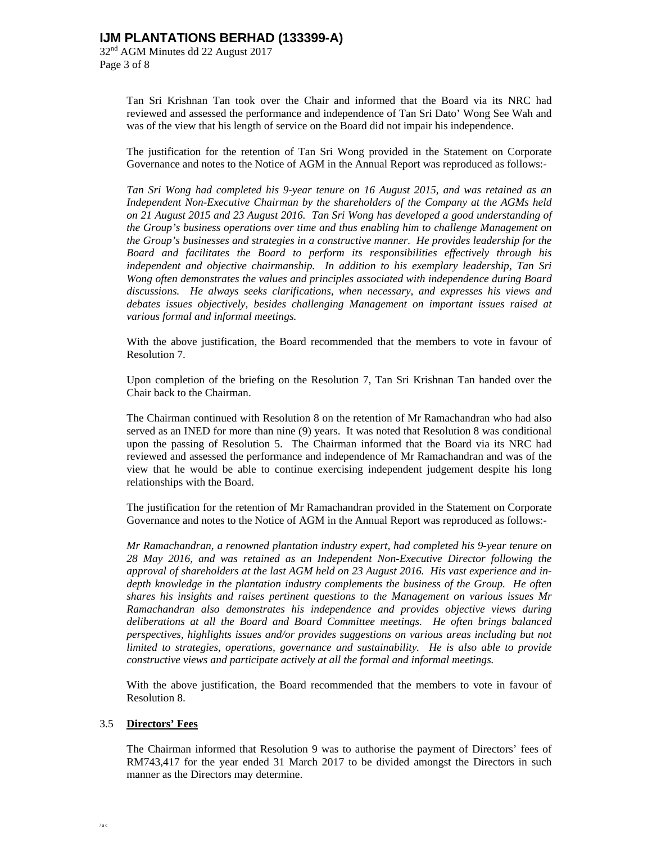32nd AGM Minutes dd 22 August 2017 Page 3 of 8

> Tan Sri Krishnan Tan took over the Chair and informed that the Board via its NRC had reviewed and assessed the performance and independence of Tan Sri Dato' Wong See Wah and was of the view that his length of service on the Board did not impair his independence.

> The justification for the retention of Tan Sri Wong provided in the Statement on Corporate Governance and notes to the Notice of AGM in the Annual Report was reproduced as follows:-

> *Tan Sri Wong had completed his 9-year tenure on 16 August 2015, and was retained as an Independent Non-Executive Chairman by the shareholders of the Company at the AGMs held on 21 August 2015 and 23 August 2016. Tan Sri Wong has developed a good understanding of the Group's business operations over time and thus enabling him to challenge Management on the Group's businesses and strategies in a constructive manner. He provides leadership for the Board and facilitates the Board to perform its responsibilities effectively through his independent and objective chairmanship. In addition to his exemplary leadership, Tan Sri Wong often demonstrates the values and principles associated with independence during Board discussions. He always seeks clarifications, when necessary, and expresses his views and debates issues objectively, besides challenging Management on important issues raised at various formal and informal meetings.*

> With the above justification, the Board recommended that the members to vote in favour of Resolution 7.

> Upon completion of the briefing on the Resolution 7, Tan Sri Krishnan Tan handed over the Chair back to the Chairman.

> The Chairman continued with Resolution 8 on the retention of Mr Ramachandran who had also served as an INED for more than nine (9) years. It was noted that Resolution 8 was conditional upon the passing of Resolution 5. The Chairman informed that the Board via its NRC had reviewed and assessed the performance and independence of Mr Ramachandran and was of the view that he would be able to continue exercising independent judgement despite his long relationships with the Board.

> The justification for the retention of Mr Ramachandran provided in the Statement on Corporate Governance and notes to the Notice of AGM in the Annual Report was reproduced as follows:-

> *Mr Ramachandran, a renowned plantation industry expert, had completed his 9-year tenure on 28 May 2016, and was retained as an Independent Non-Executive Director following the approval of shareholders at the last AGM held on 23 August 2016. His vast experience and indepth knowledge in the plantation industry complements the business of the Group. He often shares his insights and raises pertinent questions to the Management on various issues Mr Ramachandran also demonstrates his independence and provides objective views during deliberations at all the Board and Board Committee meetings. He often brings balanced perspectives, highlights issues and/or provides suggestions on various areas including but not limited to strategies, operations, governance and sustainability. He is also able to provide constructive views and participate actively at all the formal and informal meetings.*

> With the above justification, the Board recommended that the members to vote in favour of Resolution 8.

### 3.5 **Directors' Fees**

 The Chairman informed that Resolution 9 was to authorise the payment of Directors' fees of RM743,417 for the year ended 31 March 2017 to be divided amongst the Directors in such manner as the Directors may determine.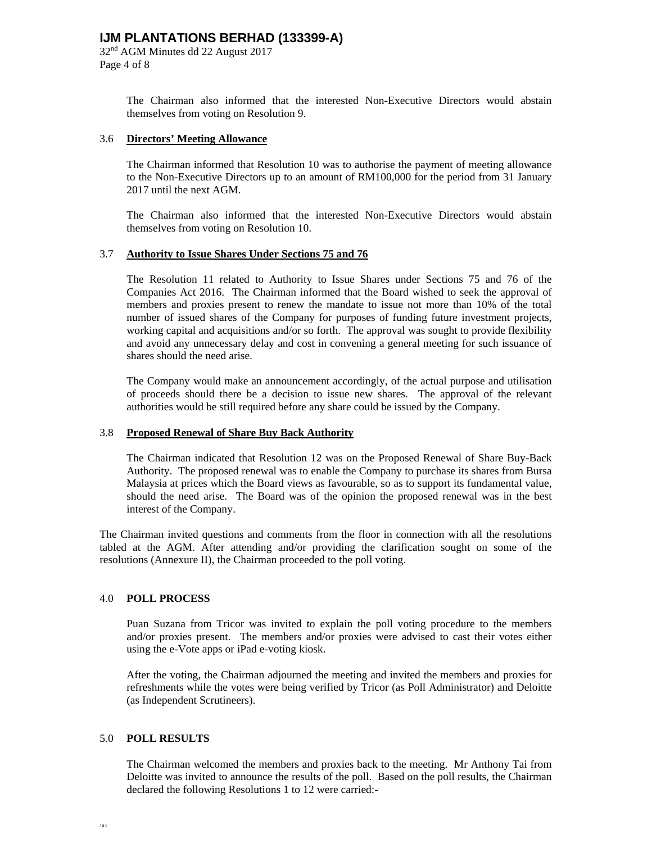32nd AGM Minutes dd 22 August 2017 Page 4 of 8

> The Chairman also informed that the interested Non-Executive Directors would abstain themselves from voting on Resolution 9.

### 3.6 **Directors' Meeting Allowance**

 The Chairman informed that Resolution 10 was to authorise the payment of meeting allowance to the Non-Executive Directors up to an amount of RM100,000 for the period from 31 January 2017 until the next AGM.

 The Chairman also informed that the interested Non-Executive Directors would abstain themselves from voting on Resolution 10.

### 3.7 **Authority to Issue Shares Under Sections 75 and 76**

 The Resolution 11 related to Authority to Issue Shares under Sections 75 and 76 of the Companies Act 2016. The Chairman informed that the Board wished to seek the approval of members and proxies present to renew the mandate to issue not more than 10% of the total number of issued shares of the Company for purposes of funding future investment projects, working capital and acquisitions and/or so forth. The approval was sought to provide flexibility and avoid any unnecessary delay and cost in convening a general meeting for such issuance of shares should the need arise.

 The Company would make an announcement accordingly, of the actual purpose and utilisation of proceeds should there be a decision to issue new shares. The approval of the relevant authorities would be still required before any share could be issued by the Company.

### 3.8 **Proposed Renewal of Share Buy Back Authority**

 The Chairman indicated that Resolution 12 was on the Proposed Renewal of Share Buy-Back Authority. The proposed renewal was to enable the Company to purchase its shares from Bursa Malaysia at prices which the Board views as favourable, so as to support its fundamental value, should the need arise. The Board was of the opinion the proposed renewal was in the best interest of the Company.

The Chairman invited questions and comments from the floor in connection with all the resolutions tabled at the AGM. After attending and/or providing the clarification sought on some of the resolutions (Annexure II), the Chairman proceeded to the poll voting.

### 4.0 **POLL PROCESS**

Puan Suzana from Tricor was invited to explain the poll voting procedure to the members and/or proxies present. The members and/or proxies were advised to cast their votes either using the e-Vote apps or iPad e-voting kiosk.

After the voting, the Chairman adjourned the meeting and invited the members and proxies for refreshments while the votes were being verified by Tricor (as Poll Administrator) and Deloitte (as Independent Scrutineers).

### 5.0 **POLL RESULTS**

 The Chairman welcomed the members and proxies back to the meeting. Mr Anthony Tai from Deloitte was invited to announce the results of the poll. Based on the poll results, the Chairman declared the following Resolutions 1 to 12 were carried:-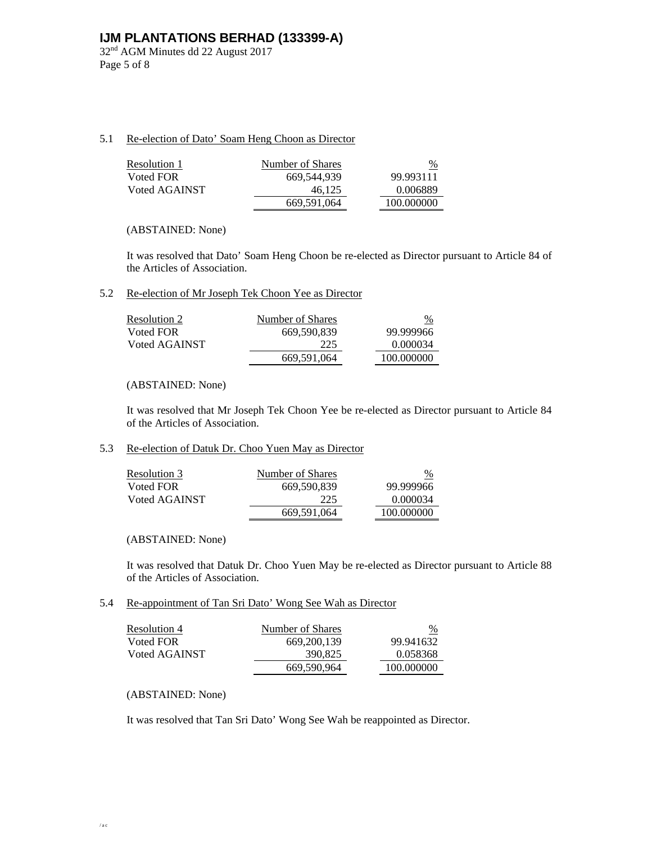32nd AGM Minutes dd 22 August 2017 Page 5 of 8

## 5.1 Re-election of Dato' Soam Heng Choon as Director

| Resolution 1  | Number of Shares | %          |
|---------------|------------------|------------|
| Voted FOR     | 669.544.939      | 99.993111  |
| Voted AGAINST | 46.125           | 0.006889   |
|               | 669,591,064      | 100.000000 |

## (ABSTAINED: None)

 It was resolved that Dato' Soam Heng Choon be re-elected as Director pursuant to Article 84 of the Articles of Association.

## 5.2 Re-election of Mr Joseph Tek Choon Yee as Director

| Resolution 2  | Number of Shares | $\%$       |
|---------------|------------------|------------|
| Voted FOR     | 669.590.839      | 99.999966  |
| Voted AGAINST | 225              | 0.000034   |
|               | 669,591,064      | 100.000000 |

## (ABSTAINED: None)

 It was resolved that Mr Joseph Tek Choon Yee be re-elected as Director pursuant to Article 84 of the Articles of Association.

## 5.3 Re-election of Datuk Dr. Choo Yuen May as Director

| Resolution 3  | Number of Shares | $\frac{9}{6}$ |
|---------------|------------------|---------------|
| Voted FOR     | 669.590.839      | 99.999966     |
| Voted AGAINST | 225              | 0.000034      |
|               | 669,591,064      | 100.000000    |

### (ABSTAINED: None)

 It was resolved that Datuk Dr. Choo Yuen May be re-elected as Director pursuant to Article 88 of the Articles of Association.

## 5.4 Re-appointment of Tan Sri Dato' Wong See Wah as Director

| <b>Resolution 4</b> | Number of Shares | $\frac{\%}{\ }$ |
|---------------------|------------------|-----------------|
| Voted FOR           | 669, 200, 139    | 99.941632       |
| Voted AGAINST       | 390,825          | 0.058368        |
|                     | 669,590,964      | 100.000000      |

## (ABSTAINED: None)

It was resolved that Tan Sri Dato' Wong See Wah be reappointed as Director.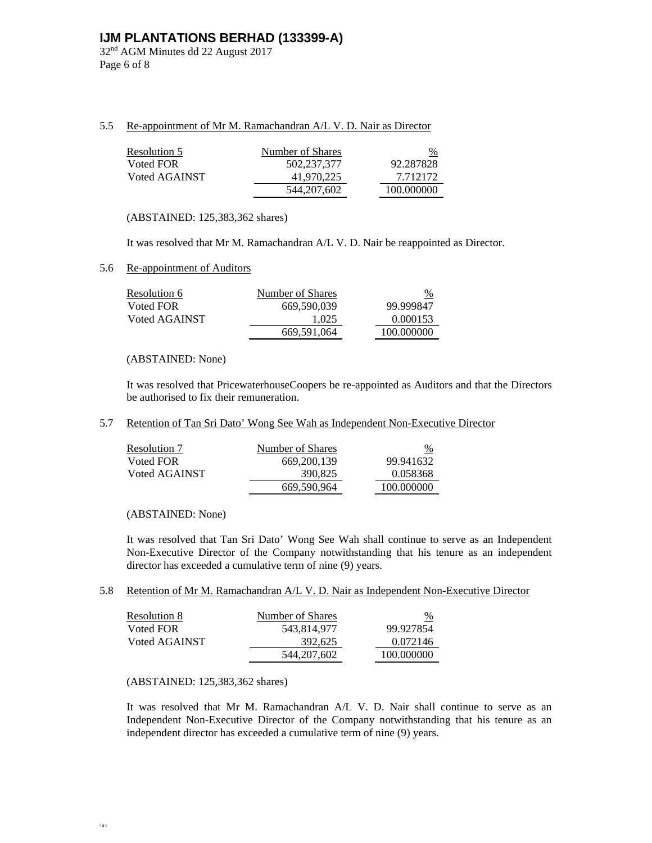32nd AGM Minutes dd 22 August 2017 Page 6 of 8

## 5.5 Re-appointment of Mr M. Ramachandran A/L V. D. Nair as Director

| <b>Resolution 5</b> | Number of Shares | %          |
|---------------------|------------------|------------|
| Voted FOR           | 502,237,377      | 92.287828  |
| Voted AGAINST       | 41,970,225       | 7.712172   |
|                     | 544, 207, 602    | 100.000000 |

(ABSTAINED: 125,383,362 shares)

It was resolved that Mr M. Ramachandran A/L V. D. Nair be reappointed as Director.

### 5.6 Re-appointment of Auditors

| Resolution 6  | Number of Shares | $\frac{9}{6}$ |
|---------------|------------------|---------------|
| Voted FOR     | 669.590.039      | 99.999847     |
| Voted AGAINST | 1.025            | 0.000153      |
|               | 669.591.064      | 100.000000    |

## (ABSTAINED: None)

It was resolved that PricewaterhouseCoopers be re-appointed as Auditors and that the Directors be authorised to fix their remuneration.

5.7 Retention of Tan Sri Dato' Wong See Wah as Independent Non-Executive Director

| Resolution 7  | Number of Shares | $\%$       |
|---------------|------------------|------------|
| Voted FOR     | 669, 200, 139    | 99.941632  |
| Voted AGAINST | 390.825          | 0.058368   |
|               | 669,590,964      | 100.000000 |

(ABSTAINED: None)

 It was resolved that Tan Sri Dato' Wong See Wah shall continue to serve as an Independent Non-Executive Director of the Company notwithstanding that his tenure as an independent director has exceeded a cumulative term of nine (9) years.

### 5.8 Retention of Mr M. Ramachandran A/L V. D. Nair as Independent Non-Executive Director

| Resolution 8  | Number of Shares | $\frac{9}{6}$ |
|---------------|------------------|---------------|
| Voted FOR     | 543,814,977      | 99.927854     |
| Voted AGAINST | 392.625          | 0.072146      |
|               | 544, 207, 602    | 100.000000    |

### (ABSTAINED: 125,383,362 shares)

 It was resolved that Mr M. Ramachandran A/L V. D. Nair shall continue to serve as an Independent Non-Executive Director of the Company notwithstanding that his tenure as an independent director has exceeded a cumulative term of nine (9) years.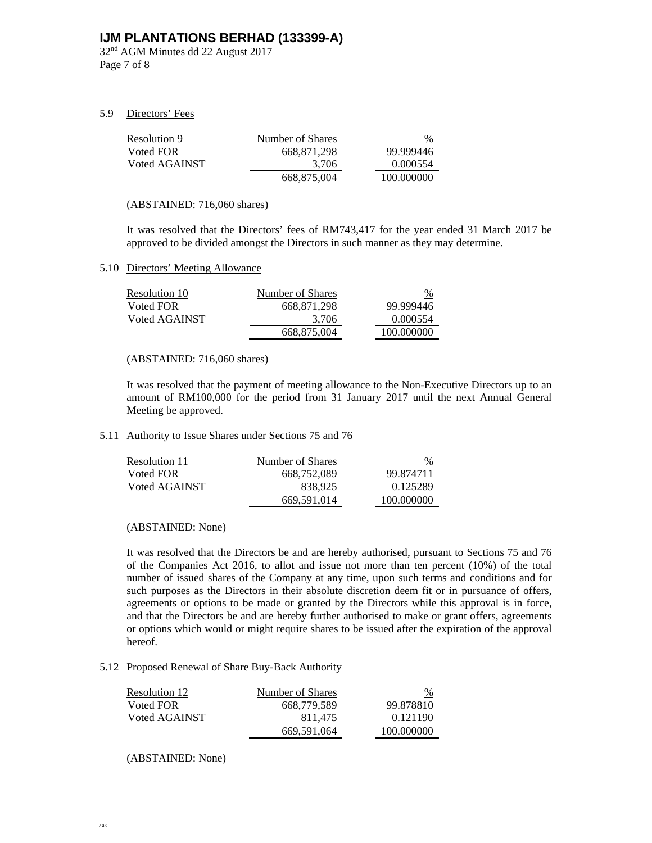32nd AGM Minutes dd 22 August 2017 Page 7 of 8

## 5.9 Directors' Fees

| <b>Resolution 9</b> | Number of Shares | $\frac{0}{0}$ |
|---------------------|------------------|---------------|
| Voted FOR           | 668.871.298      | 99.999446     |
| Voted AGAINST       | 3.706            | 0.000554      |
|                     | 668.875.004      | 100.000000    |

### (ABSTAINED: 716,060 shares)

It was resolved that the Directors' fees of RM743,417 for the year ended 31 March 2017 be approved to be divided amongst the Directors in such manner as they may determine.

### 5.10 Directors' Meeting Allowance

| Resolution 10 | Number of Shares | $\frac{\%}{\ }$ |
|---------------|------------------|-----------------|
| Voted FOR     | 668.871.298      | 99.999446       |
| Voted AGAINST | 3.706            | 0.000554        |
|               | 668.875.004      | 100.000000      |

(ABSTAINED: 716,060 shares)

It was resolved that the payment of meeting allowance to the Non-Executive Directors up to an amount of RM100,000 for the period from 31 January 2017 until the next Annual General Meeting be approved.

## 5.11 Authority to Issue Shares under Sections 75 and 76

| Resolution 11 | Number of Shares | $\%$       |
|---------------|------------------|------------|
| Voted FOR     | 668.752.089      | 99.874711  |
| Voted AGAINST | 838.925          | 0.125289   |
|               | 669,591,014      | 100.000000 |

### (ABSTAINED: None)

It was resolved that the Directors be and are hereby authorised, pursuant to Sections 75 and 76 of the Companies Act 2016, to allot and issue not more than ten percent (10%) of the total number of issued shares of the Company at any time, upon such terms and conditions and for such purposes as the Directors in their absolute discretion deem fit or in pursuance of offers, agreements or options to be made or granted by the Directors while this approval is in force, and that the Directors be and are hereby further authorised to make or grant offers, agreements or options which would or might require shares to be issued after the expiration of the approval hereof.

#### 5.12 Proposed Renewal of Share Buy-Back Authority

| Resolution 12 | Number of Shares | $\frac{\%}{\ }$ |
|---------------|------------------|-----------------|
| Voted FOR     | 668.779.589      | 99.878810       |
| Voted AGAINST | 811.475          | 0.121190        |
|               | 669,591,064      | 100.000000      |

(ABSTAINED: None)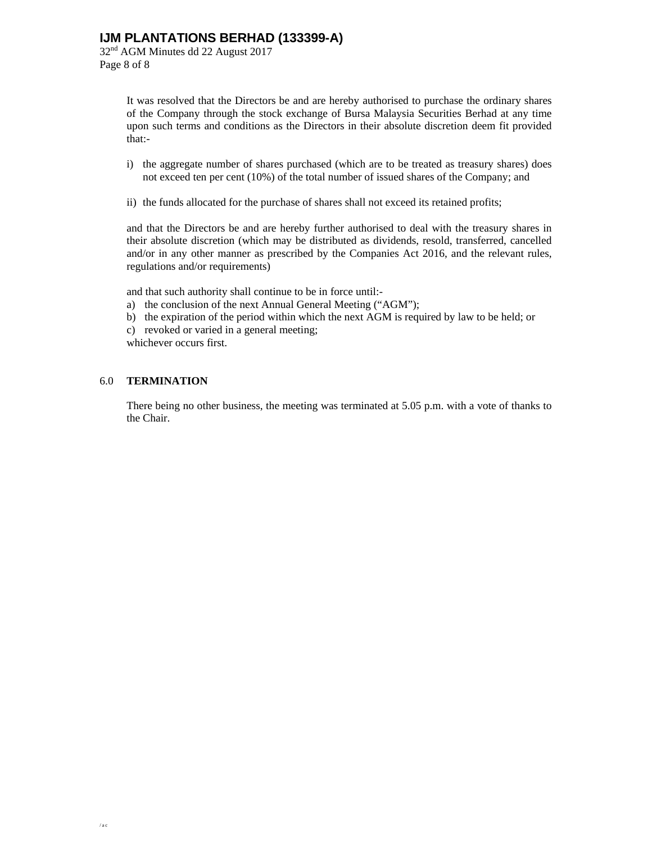32nd AGM Minutes dd 22 August 2017 Page 8 of 8

> It was resolved that the Directors be and are hereby authorised to purchase the ordinary shares of the Company through the stock exchange of Bursa Malaysia Securities Berhad at any time upon such terms and conditions as the Directors in their absolute discretion deem fit provided that:-

- i) the aggregate number of shares purchased (which are to be treated as treasury shares) does not exceed ten per cent (10%) of the total number of issued shares of the Company; and
- ii) the funds allocated for the purchase of shares shall not exceed its retained profits;

and that the Directors be and are hereby further authorised to deal with the treasury shares in their absolute discretion (which may be distributed as dividends, resold, transferred, cancelled and/or in any other manner as prescribed by the Companies Act 2016, and the relevant rules, regulations and/or requirements)

and that such authority shall continue to be in force until:-

- a) the conclusion of the next Annual General Meeting ("AGM");
- b) the expiration of the period within which the next AGM is required by law to be held; or
- c) revoked or varied in a general meeting;

whichever occurs first.

## 6.0 **TERMINATION**

There being no other business, the meeting was terminated at 5.05 p.m. with a vote of thanks to the Chair.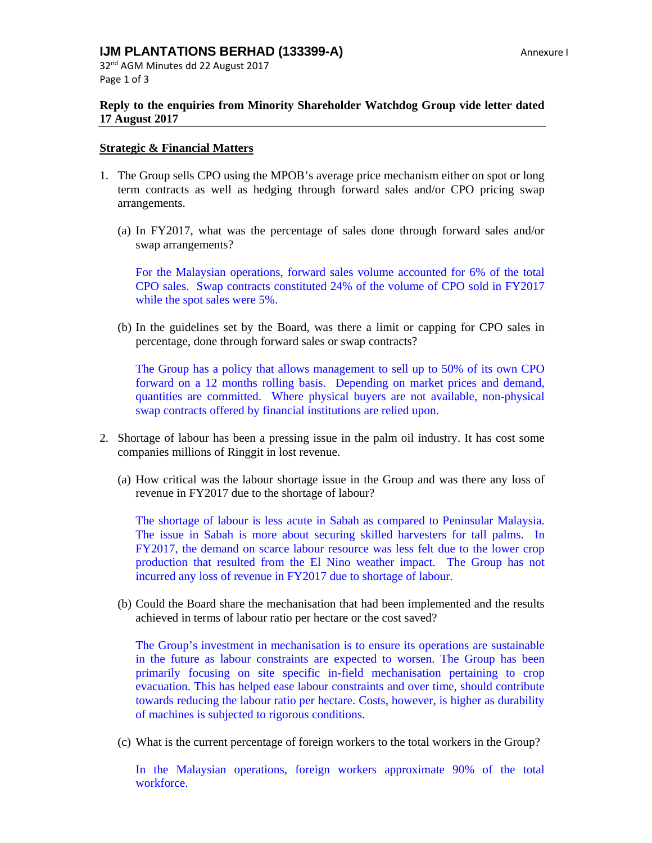32nd AGM Minutes dd 22 August 2017 Page 1 of 3

## **Reply to the enquiries from Minority Shareholder Watchdog Group vide letter dated 17 August 2017**

## **Strategic & Financial Matters**

- 1. The Group sells CPO using the MPOB's average price mechanism either on spot or long term contracts as well as hedging through forward sales and/or CPO pricing swap arrangements.
	- (a) In FY2017, what was the percentage of sales done through forward sales and/or swap arrangements?

For the Malaysian operations, forward sales volume accounted for 6% of the total CPO sales. Swap contracts constituted 24% of the volume of CPO sold in FY2017 while the spot sales were 5%.

(b) In the guidelines set by the Board, was there a limit or capping for CPO sales in percentage, done through forward sales or swap contracts?

The Group has a policy that allows management to sell up to 50% of its own CPO forward on a 12 months rolling basis. Depending on market prices and demand, quantities are committed. Where physical buyers are not available, non-physical swap contracts offered by financial institutions are relied upon.

- 2. Shortage of labour has been a pressing issue in the palm oil industry. It has cost some companies millions of Ringgit in lost revenue.
	- (a) How critical was the labour shortage issue in the Group and was there any loss of revenue in FY2017 due to the shortage of labour?

The shortage of labour is less acute in Sabah as compared to Peninsular Malaysia. The issue in Sabah is more about securing skilled harvesters for tall palms. In FY2017, the demand on scarce labour resource was less felt due to the lower crop production that resulted from the El Nino weather impact. The Group has not incurred any loss of revenue in FY2017 due to shortage of labour.

(b) Could the Board share the mechanisation that had been implemented and the results achieved in terms of labour ratio per hectare or the cost saved?

The Group's investment in mechanisation is to ensure its operations are sustainable in the future as labour constraints are expected to worsen. The Group has been primarily focusing on site specific in-field mechanisation pertaining to crop evacuation. This has helped ease labour constraints and over time, should contribute towards reducing the labour ratio per hectare. Costs, however, is higher as durability of machines is subjected to rigorous conditions.

(c) What is the current percentage of foreign workers to the total workers in the Group?

In the Malaysian operations, foreign workers approximate 90% of the total workforce.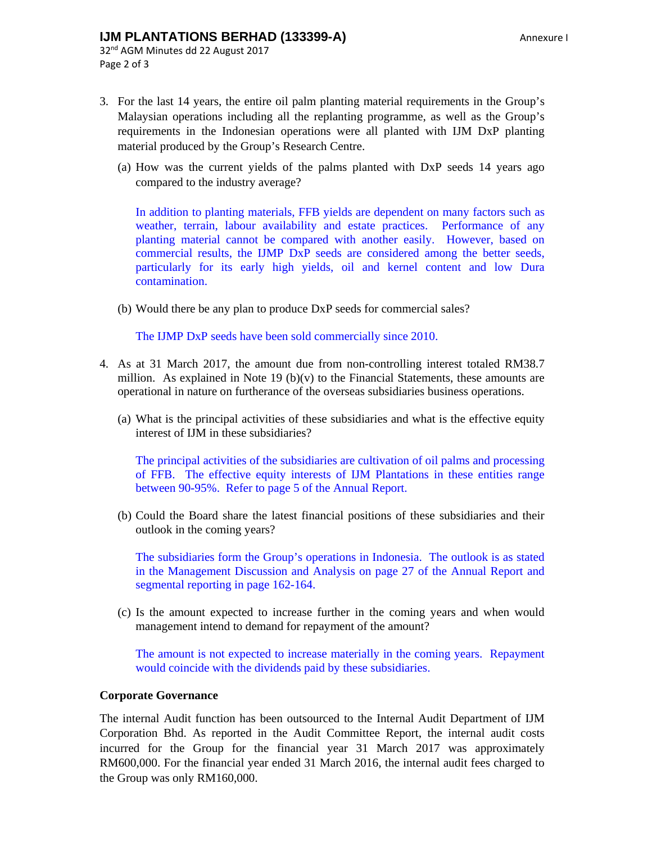## **IJM PLANTATIONS BERHAD (133399-A) Annexure I**

- 3. For the last 14 years, the entire oil palm planting material requirements in the Group's Malaysian operations including all the replanting programme, as well as the Group's requirements in the Indonesian operations were all planted with IJM DxP planting material produced by the Group's Research Centre.
	- (a) How was the current yields of the palms planted with DxP seeds 14 years ago compared to the industry average?

In addition to planting materials, FFB yields are dependent on many factors such as weather, terrain, labour availability and estate practices. Performance of any planting material cannot be compared with another easily. However, based on commercial results, the IJMP DxP seeds are considered among the better seeds, particularly for its early high yields, oil and kernel content and low Dura contamination.

(b) Would there be any plan to produce DxP seeds for commercial sales?

The IJMP DxP seeds have been sold commercially since 2010.

- 4. As at 31 March 2017, the amount due from non-controlling interest totaled RM38.7 million. As explained in Note 19 (b) $(v)$  to the Financial Statements, these amounts are operational in nature on furtherance of the overseas subsidiaries business operations.
	- (a) What is the principal activities of these subsidiaries and what is the effective equity interest of IJM in these subsidiaries?

The principal activities of the subsidiaries are cultivation of oil palms and processing of FFB. The effective equity interests of IJM Plantations in these entities range between 90-95%. Refer to page 5 of the Annual Report.

(b) Could the Board share the latest financial positions of these subsidiaries and their outlook in the coming years?

The subsidiaries form the Group's operations in Indonesia. The outlook is as stated in the Management Discussion and Analysis on page 27 of the Annual Report and segmental reporting in page 162-164.

(c) Is the amount expected to increase further in the coming years and when would management intend to demand for repayment of the amount?

The amount is not expected to increase materially in the coming years. Repayment would coincide with the dividends paid by these subsidiaries.

## **Corporate Governance**

The internal Audit function has been outsourced to the Internal Audit Department of IJM Corporation Bhd. As reported in the Audit Committee Report, the internal audit costs incurred for the Group for the financial year 31 March 2017 was approximately RM600,000. For the financial year ended 31 March 2016, the internal audit fees charged to the Group was only RM160,000.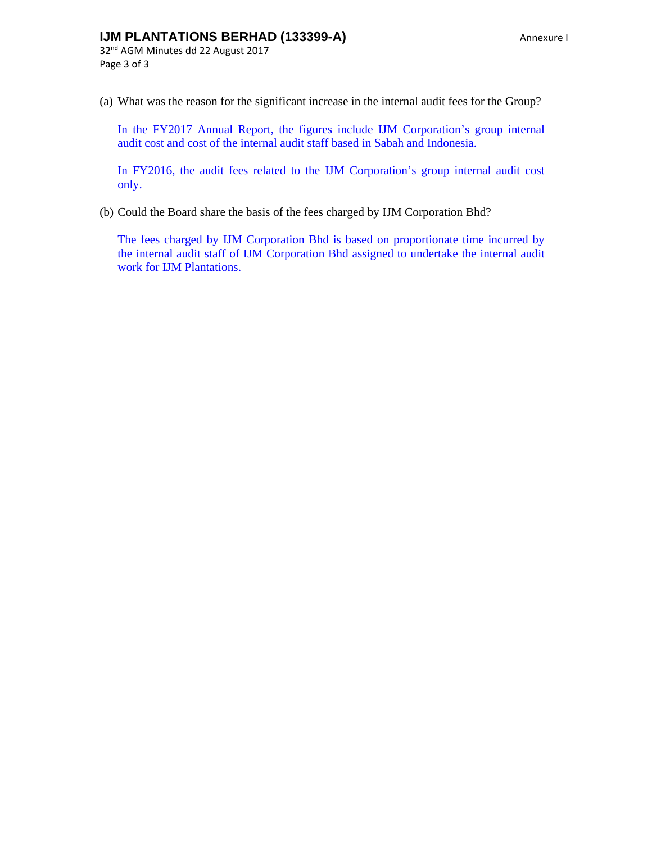# **IJM PLANTATIONS BERHAD (133399-A)** Annexure I

32nd AGM Minutes dd 22 August 2017 Page 3 of 3

(a) What was the reason for the significant increase in the internal audit fees for the Group?

In the FY2017 Annual Report, the figures include IJM Corporation's group internal audit cost and cost of the internal audit staff based in Sabah and Indonesia.

In FY2016, the audit fees related to the IJM Corporation's group internal audit cost only.

(b) Could the Board share the basis of the fees charged by IJM Corporation Bhd?

The fees charged by IJM Corporation Bhd is based on proportionate time incurred by the internal audit staff of IJM Corporation Bhd assigned to undertake the internal audit work for IJM Plantations.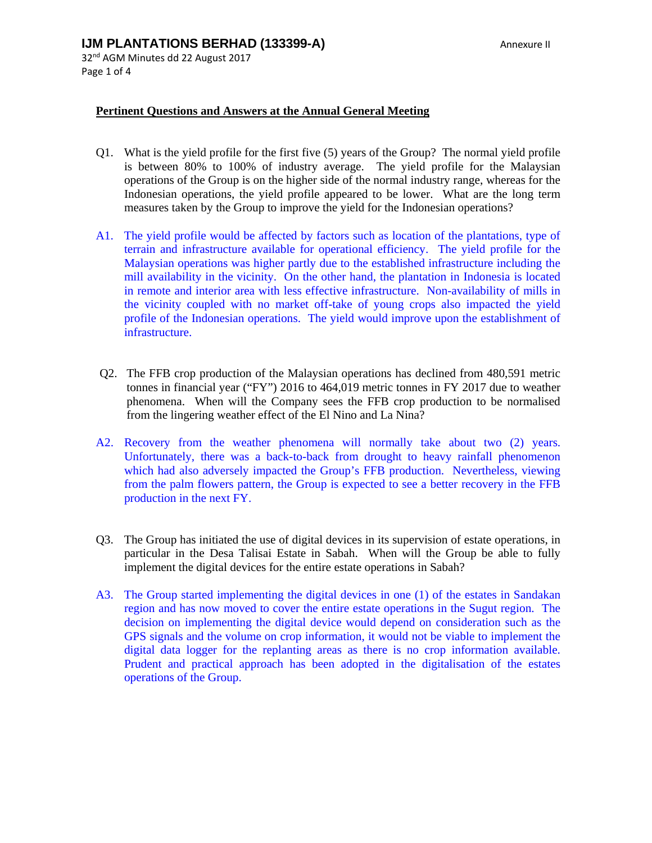## **Pertinent Questions and Answers at the Annual General Meeting**

- Q1. What is the yield profile for the first five (5) years of the Group? The normal yield profile is between 80% to 100% of industry average. The yield profile for the Malaysian operations of the Group is on the higher side of the normal industry range, whereas for the Indonesian operations, the yield profile appeared to be lower. What are the long term measures taken by the Group to improve the yield for the Indonesian operations?
- A1. The yield profile would be affected by factors such as location of the plantations, type of terrain and infrastructure available for operational efficiency. The yield profile for the Malaysian operations was higher partly due to the established infrastructure including the mill availability in the vicinity. On the other hand, the plantation in Indonesia is located in remote and interior area with less effective infrastructure. Non-availability of mills in the vicinity coupled with no market off-take of young crops also impacted the yield profile of the Indonesian operations. The yield would improve upon the establishment of infrastructure.
- Q2. The FFB crop production of the Malaysian operations has declined from 480,591 metric tonnes in financial year ("FY") 2016 to 464,019 metric tonnes in FY 2017 due to weather phenomena. When will the Company sees the FFB crop production to be normalised from the lingering weather effect of the El Nino and La Nina?
- A2. Recovery from the weather phenomena will normally take about two (2) years. Unfortunately, there was a back-to-back from drought to heavy rainfall phenomenon which had also adversely impacted the Group's FFB production. Nevertheless, viewing from the palm flowers pattern, the Group is expected to see a better recovery in the FFB production in the next FY.
- Q3. The Group has initiated the use of digital devices in its supervision of estate operations, in particular in the Desa Talisai Estate in Sabah. When will the Group be able to fully implement the digital devices for the entire estate operations in Sabah?
- A3. The Group started implementing the digital devices in one (1) of the estates in Sandakan region and has now moved to cover the entire estate operations in the Sugut region. The decision on implementing the digital device would depend on consideration such as the GPS signals and the volume on crop information, it would not be viable to implement the digital data logger for the replanting areas as there is no crop information available. Prudent and practical approach has been adopted in the digitalisation of the estates operations of the Group.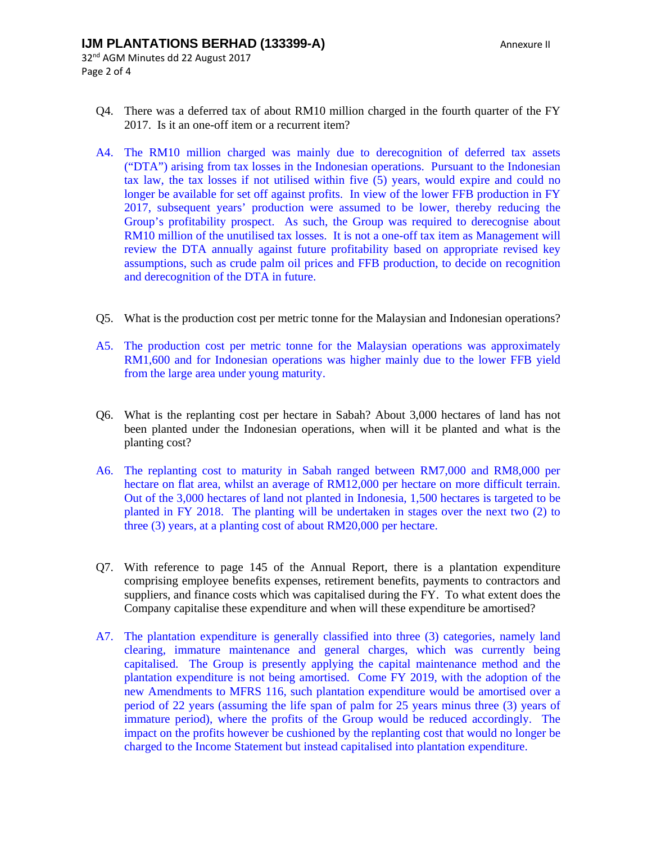- 32nd AGM Minutes dd 22 August 2017 Page 2 of 4
	- Q4. There was a deferred tax of about RM10 million charged in the fourth quarter of the FY 2017. Is it an one-off item or a recurrent item?
	- A4. The RM10 million charged was mainly due to derecognition of deferred tax assets ("DTA") arising from tax losses in the Indonesian operations. Pursuant to the Indonesian tax law, the tax losses if not utilised within five (5) years, would expire and could no longer be available for set off against profits. In view of the lower FFB production in FY 2017, subsequent years' production were assumed to be lower, thereby reducing the Group's profitability prospect. As such, the Group was required to derecognise about RM10 million of the unutilised tax losses. It is not a one-off tax item as Management will review the DTA annually against future profitability based on appropriate revised key assumptions, such as crude palm oil prices and FFB production, to decide on recognition and derecognition of the DTA in future.
	- Q5. What is the production cost per metric tonne for the Malaysian and Indonesian operations?
	- A5. The production cost per metric tonne for the Malaysian operations was approximately RM1,600 and for Indonesian operations was higher mainly due to the lower FFB yield from the large area under young maturity.
	- Q6. What is the replanting cost per hectare in Sabah? About 3,000 hectares of land has not been planted under the Indonesian operations, when will it be planted and what is the planting cost?
	- A6. The replanting cost to maturity in Sabah ranged between RM7,000 and RM8,000 per hectare on flat area, whilst an average of RM12,000 per hectare on more difficult terrain. Out of the 3,000 hectares of land not planted in Indonesia, 1,500 hectares is targeted to be planted in FY 2018. The planting will be undertaken in stages over the next two (2) to three (3) years, at a planting cost of about RM20,000 per hectare.
	- Q7. With reference to page 145 of the Annual Report, there is a plantation expenditure comprising employee benefits expenses, retirement benefits, payments to contractors and suppliers, and finance costs which was capitalised during the FY. To what extent does the Company capitalise these expenditure and when will these expenditure be amortised?
	- A7. The plantation expenditure is generally classified into three (3) categories, namely land clearing, immature maintenance and general charges, which was currently being capitalised. The Group is presently applying the capital maintenance method and the plantation expenditure is not being amortised. Come FY 2019, with the adoption of the new Amendments to MFRS 116, such plantation expenditure would be amortised over a period of 22 years (assuming the life span of palm for 25 years minus three (3) years of immature period), where the profits of the Group would be reduced accordingly. The impact on the profits however be cushioned by the replanting cost that would no longer be charged to the Income Statement but instead capitalised into plantation expenditure.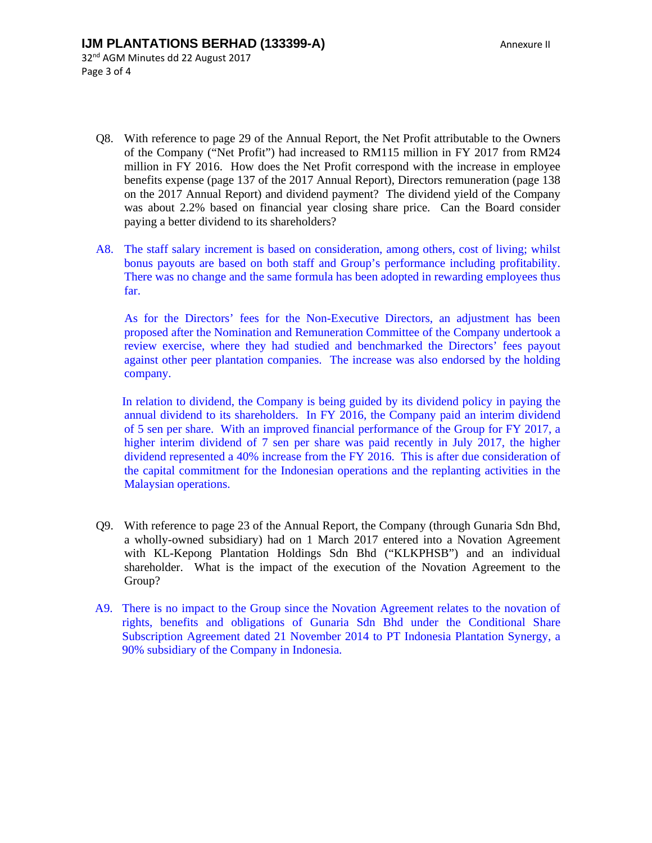- Q8. With reference to page 29 of the Annual Report, the Net Profit attributable to the Owners of the Company ("Net Profit") had increased to RM115 million in FY 2017 from RM24 million in FY 2016. How does the Net Profit correspond with the increase in employee benefits expense (page 137 of the 2017 Annual Report), Directors remuneration (page 138 on the 2017 Annual Report) and dividend payment? The dividend yield of the Company was about 2.2% based on financial year closing share price. Can the Board consider paying a better dividend to its shareholders?
- A8. The staff salary increment is based on consideration, among others, cost of living; whilst bonus payouts are based on both staff and Group's performance including profitability. There was no change and the same formula has been adopted in rewarding employees thus far.

As for the Directors' fees for the Non-Executive Directors, an adjustment has been proposed after the Nomination and Remuneration Committee of the Company undertook a review exercise, where they had studied and benchmarked the Directors' fees payout against other peer plantation companies. The increase was also endorsed by the holding company.

In relation to dividend, the Company is being guided by its dividend policy in paying the annual dividend to its shareholders. In FY 2016, the Company paid an interim dividend of 5 sen per share. With an improved financial performance of the Group for FY 2017, a higher interim dividend of 7 sen per share was paid recently in July 2017, the higher dividend represented a 40% increase from the FY 2016. This is after due consideration of the capital commitment for the Indonesian operations and the replanting activities in the Malaysian operations.

- Q9. With reference to page 23 of the Annual Report, the Company (through Gunaria Sdn Bhd, a wholly-owned subsidiary) had on 1 March 2017 entered into a Novation Agreement with KL-Kepong Plantation Holdings Sdn Bhd ("KLKPHSB") and an individual shareholder. What is the impact of the execution of the Novation Agreement to the Group?
- A9. There is no impact to the Group since the Novation Agreement relates to the novation of rights, benefits and obligations of Gunaria Sdn Bhd under the Conditional Share Subscription Agreement dated 21 November 2014 to PT Indonesia Plantation Synergy, a 90% subsidiary of the Company in Indonesia.